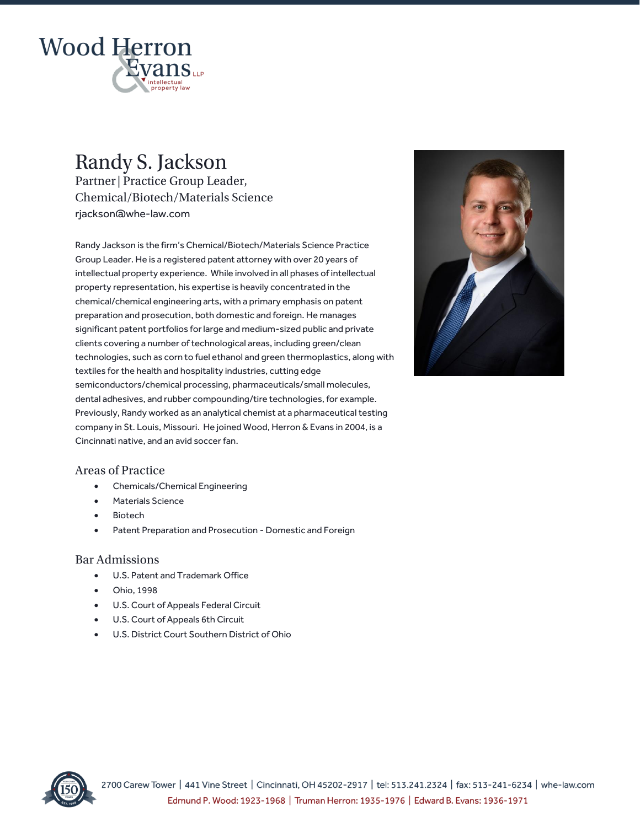

# Randy S. Jackson

Partner | Practice Group Leader, Chemical/Biotech/Materials Science rjackson@whe-law.com

Randy Jackson is the firm's Chemical/Biotech/Materials Science Practice Group Leader. He is a registered patent attorney with over 20 years of intellectual property experience. While involved in all phases of intellectual property representation, his expertise is heavily concentrated in the chemical/chemical engineering arts, with a primary emphasis on patent preparation and prosecution, both domestic and foreign. He manages significant patent portfolios for large and medium-sized public and private clients covering a number of technological areas, including green/clean technologies, such as corn to fuel ethanol and green thermoplastics, along with textiles for the health and hospitality industries, cutting edge semiconductors/chemical processing, pharmaceuticals/small molecules, dental adhesives, and rubber compounding/tire technologies, for example. Previously, Randy worked as an analytical chemist at a pharmaceutical testing company in St. Louis, Missouri. He joined Wood, Herron & Evans in 2004, is a Cincinnati native, and an avid soccer fan.



### **Areas of Practice**

- Chemicals/Chemical Engineering
- Materials Science
- **Biotech**
- Patent Preparation and Prosecution Domestic and Foreign

#### **Bar Admissions**

- U.S. Patent and Trademark Office
- Ohio, 1998
- U.S. Court of Appeals Federal Circuit
- U.S. Court of Appeals 6th Circuit
- U.S. District Court Southern District of Ohio